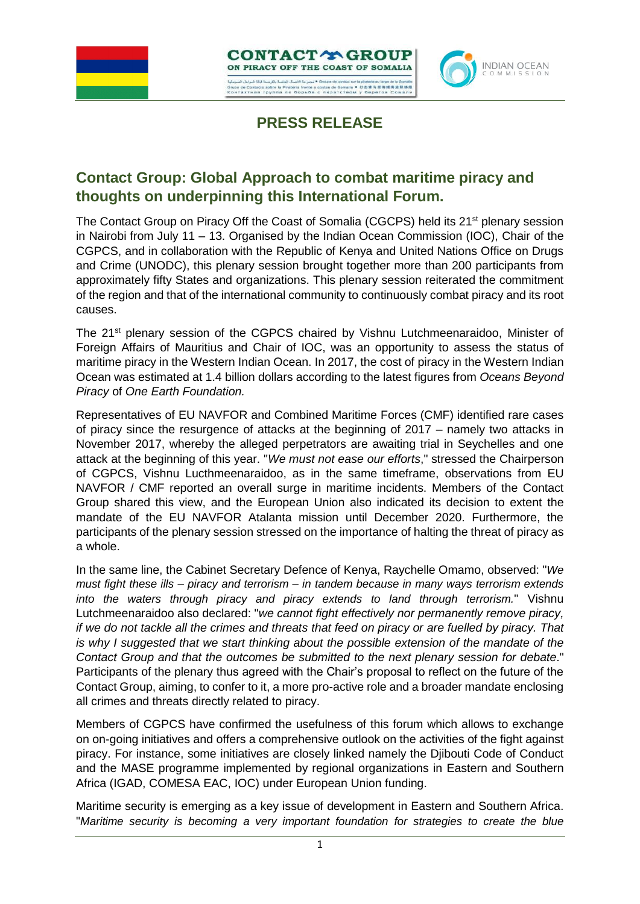



**PRESS RELEASE**

## **Contact Group: Global Approach to combat maritime piracy and thoughts on underpinning this International Forum.**

The Contact Group on Piracy Off the Coast of Somalia (CGCPS) held its 21<sup>st</sup> plenary session in Nairobi from July 11 – 13. Organised by the Indian Ocean Commission (IOC), Chair of the CGPCS, and in collaboration with the Republic of Kenya and United Nations Office on Drugs and Crime (UNODC), this plenary session brought together more than 200 participants from approximately fifty States and organizations. This plenary session reiterated the commitment of the region and that of the international community to continuously combat piracy and its root causes.

The 21st plenary session of the CGPCS chaired by Vishnu Lutchmeenaraidoo, Minister of Foreign Affairs of Mauritius and Chair of IOC, was an opportunity to assess the status of maritime piracy in the Western Indian Ocean. In 2017, the cost of piracy in the Western Indian Ocean was estimated at 1.4 billion dollars according to the latest figures from *Oceans Beyond Piracy* of *One Earth Foundation.*

Representatives of EU NAVFOR and Combined Maritime Forces (CMF) identified rare cases of piracy since the resurgence of attacks at the beginning of 2017 – namely two attacks in November 2017, whereby the alleged perpetrators are awaiting trial in Seychelles and one attack at the beginning of this year. "*We must not ease our efforts*," stressed the Chairperson of CGPCS, Vishnu Lucthmeenaraidoo, as in the same timeframe, observations from EU NAVFOR / CMF reported an overall surge in maritime incidents. Members of the Contact Group shared this view, and the European Union also indicated its decision to extent the mandate of the EU NAVFOR Atalanta mission until December 2020. Furthermore, the participants of the plenary session stressed on the importance of halting the threat of piracy as a whole.

In the same line, the Cabinet Secretary Defence of Kenya, Raychelle Omamo, observed: "*We must fight these ills – piracy and terrorism – in tandem because in many ways terrorism extends into the waters through piracy and piracy extends to land through terrorism.*" Vishnu Lutchmeenaraidoo also declared: "*we cannot fight effectively nor permanently remove piracy, if we do not tackle all the crimes and threats that feed on piracy or are fuelled by piracy. That is why I suggested that we start thinking about the possible extension of the mandate of the Contact Group and that the outcomes be submitted to the next plenary session for debate*." Participants of the plenary thus agreed with the Chair's proposal to reflect on the future of the Contact Group, aiming, to confer to it, a more pro-active role and a broader mandate enclosing all crimes and threats directly related to piracy.

Members of CGPCS have confirmed the usefulness of this forum which allows to exchange on on-going initiatives and offers a comprehensive outlook on the activities of the fight against piracy. For instance, some initiatives are closely linked namely the Djibouti Code of Conduct and the MASE programme implemented by regional organizations in Eastern and Southern Africa (IGAD, COMESA EAC, IOC) under European Union funding.

Maritime security is emerging as a key issue of development in Eastern and Southern Africa. "*Maritime security is becoming a very important foundation for strategies to create the blue*